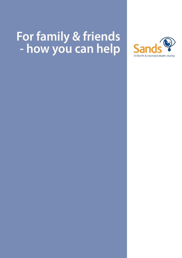# **For family & friends - how you can help**

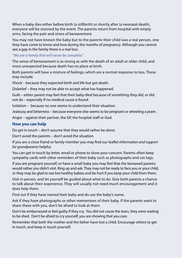When a baby dies either before birth (a stillbirth) or shortly after (a neonatal death), everyone will be stunned by the event. The parents return from hospital with empty arms, facing the pain and stress of bereavement.

You may not have known the baby but to the parents their child was a real person, one they have come to know and love during the months of pregnancy. Although you cannot see a gap in the family there is a real loss.

### *"We are a family that will never be complete."*

The sense of bereavement is as strong as with the death of an adult or older child, and more unexpected because death has no place at birth.

Both parents will have a mixture of feelings, which are a normal response to loss. These may include:

Shock – because they expected birth and life but got death.

Disbelief – they may not be able to accept what has happened.

Guilt – either parent may feel that their baby died because of something they did, or did not do – especially if no medical cause is found.

Isolation – because no one seems to understand their situation.

Jealousy and bitterness – because everyone else seems to be pregnant or wheeling a pram.

Anger – against their partner, the GP, the hospital staff or God.

# **How you can help**

Do get in touch – don't assume that they would rather be alone.

Don't avoid the parents – don't avoid the situation.

If you are a close friend or family member you may find our leaflet *Information and support for grandparents* helpful.

You can get in touch by letter, email or phone to show your concern. Parents often keep sympathy cards with other reminders of their baby such as photographs and cot tags.

If you are pregnant yourself, or have a small baby you may feel that the bereaved parents would rather you didn't visit. Ring up and ask. They may not be ready to face you or your child, or they may be glad to see live healthy babies and be hurt if you keep your child from them.

Visit in person, and let yourself be guided about what to do. Give both parents a chance to talk about their experience. They will usually not need much encouragement and it does help them.

Find out if they have named their baby and do use the baby's name.

Ask if they have photographs or other mementoes of their baby. If the parents want to share these with you, don't be afraid to look at them.

Don't be embarrassed or feel guilty if they cry. You did not cause the tears, they were waiting to be shed. Don't be afraid to cry yourself, you are showing that you care.

Remember that both the mother and the father have lost a child. Encourage others to get in touch, and keep in touch yourself.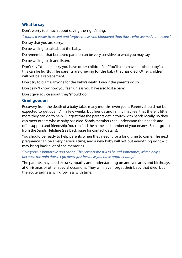### **What to say**

Don't worry too much about saying the 'right' thing.

*"I found it easier to accept and forgive those who blundered than those who seemed not to care."*

Do say that you are sorry.

Do be willing to talk about the baby.

Do remember that bereaved parents can be very sensitive to what you may say.

Do be willing to sit and listen.

Don't say "You are lucky you have other children" or "You'll soon have another baby" as this can be hurtful. The parents are grieving for the baby that has died. Other children will not be a replacement.

Don't try to blame anyone for the baby's death. Even if the parents do so.

Don't say "I know how you feel" unless you have also lost a baby.

Don't give advice about they 'should' do.

# **Grief goes on**

Recovery from the death of a baby takes many months, even years. Parents should not be expected to 'get over it' in a few weeks, but friends and family may feel that there is little more they can do to help. Suggest that the parents get in touch with Sands locally, so they can meet others whose baby has died. Sands members can understand their needs and offer support and friendship. You can find the name and number of your nearest Sands group from the Sands Helpline (see back page for contact details).

You should be ready to help parents when they need it for a long time to come. The next pregnancy can be a very nervous time, and a new baby will not put everything right – it may bring back a lot of sad memories.

### *"Everyone is supportive and caring. They expect me still to be sad sometimes, which helps, because the pain doesn't go away just because you have another baby."*

The parents may need extra sympathy and understanding on anniversaries and birthdays, at Christmas or other special occasions. They will never forget their baby that died, but the acute sadness will grow less with time.